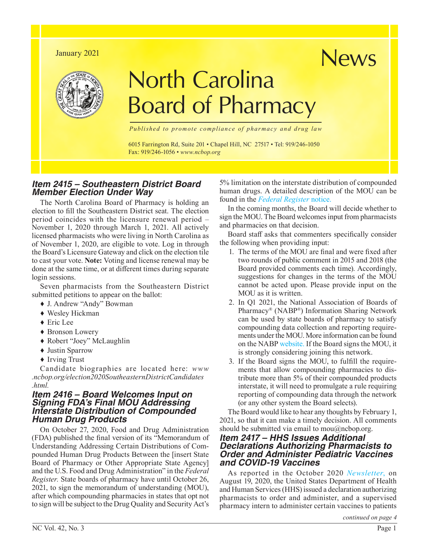#### January 2021



# North Carolina Board of Pharmacy

*Published to promote compliance of pharmacy and drug law*

6015 Farrington Rd, Suite 201 • Chapel Hill, NC 27517 • Tel: 919/246-1050 Fax: 919/246-1056 • *[www.ncbop.org](http://www.ncbop.org)*

# *Item 2415 – Southeastern District Board Member Election Under Way*

The North Carolina Board of Pharmacy is holding an election to fill the Southeastern District seat. The election period coincides with the licensure renewal period – November 1, 2020 through March 1, 2021. All actively licensed pharmacists who were living in North Carolina as of November 1, 2020, are eligible to vote. Log in through the Board's Licensure Gateway and click on the election tile to cast your vote. **Note:** Voting and license renewal may be done at the same time, or at different times during separate login sessions.

Seven pharmacists from the Southeastern District submitted petitions to appear on the ballot:

- ♦ J. Andrew "Andy" Bowman
- ♦ Wesley Hickman
- ♦ Eric Lee
- ♦ Bronson Lowery
- ♦ Robert "Joey" McLaughlin
- ♦ Justin Sparrow
- ♦ Irving Trust

Candidate biographies are located here: *[www](http://www.ncbop.org/election2020SoutheasternDistrictCandidates.html) [.ncbop.org/election2020SoutheasternDistrictCandidates](http://www.ncbop.org/election2020SoutheasternDistrictCandidates.html) .html.*

#### *Item 2416 – Board Welcomes Input on Signing FDA's Final MOU Addressing Interstate Distribution of Compounded Human Drug Products*

On October 27, 2020, Food and Drug Administration (FDA) published the final version of its "Memorandum of Understanding Addressing Certain Distributions of Compounded Human Drug Products Between the [insert State Board of Pharmacy or Other Appropriate State Agency] and the U.S. Food and Drug Administration" in the *Federal Register.* State boards of pharmacy have until October 26, 2021, to sign the memorandum of understanding (MOU), after which compounding pharmacies in states that opt not to sign will be subject to the Drug Quality and Security Act's

5% limitation on the interstate distribution of compounded human drugs. A detailed description of the MOU can be found in the *[Federal Register](https://public-inspection.federalregister.gov/2020-23687.pdf)* notice.

News

In the coming months, the Board will decide whether to sign the MOU. The Board welcomes input from pharmacists and pharmacies on that decision.

Board staff asks that commenters specifically consider the following when providing input:

- 1. The terms of the MOU are final and were fixed after two rounds of public comment in 2015 and 2018 (the Board provided comments each time). Accordingly, suggestions for changes in the terms of the MOU cannot be acted upon. Please provide input on the MOU as it is written.
- 2. In Q1 2021, the National Association of Boards of Pharmacy® (NABP®) Information Sharing Network can be used by state boards of pharmacy to satisfy compounding data collection and reporting requirements under the MOU. More information can be found on the NABP [website.](https://nabp.pharmacy/members/compounding-pharmacy-information-sharing-project/) If the Board signs the MOU, it is strongly considering joining this network.
- 3. If the Board signs the MOU, to fulfill the requirements that allow compounding pharmacies to distribute more than 5% of their compounded products interstate, it will need to promulgate a rule requiring reporting of compounding data through the network (or any other system the Board selects).

The Board would like to hear any thoughts by February 1, 2021, so that it can make a timely decision. All comments should be submitted via email to [mou@ncbop.org.](mailto:mou@ncbop.org)

### *Item 2417 – HHS Issues Additional Declarations Authorizing Pharmacists to Order and Administer Pediatric Vaccines and COVID-19 Vaccines*

As reported in the October 2020 *[Newsletter](https://nabp.pharmacy/wp-content/uploads/2020/10/October-2020-North-Carolina-Newsletter.pdf)*, on August 19, 2020, the United States Department of Health and Human Services (HHS) issued a declaration authorizing pharmacists to order and administer, and a supervised pharmacy intern to administer certain vaccines to patients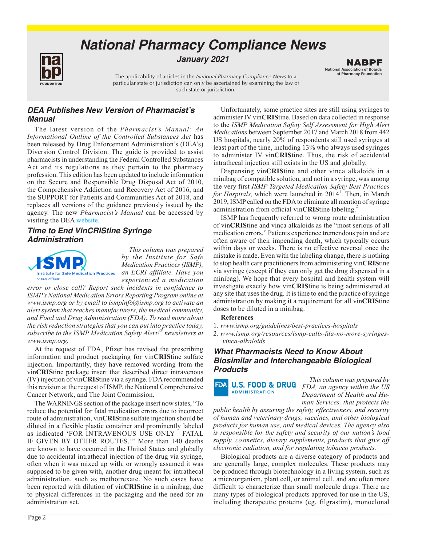# *National Pharmacy Compliance News*



*January 2021*

The applicability of articles in the *National Pharmacy Compliance News* to a particular state or jurisdiction can only be ascertained by examining the law of such state or jurisdiction.

# *DEA Publishes New Version of Pharmacist's Manual*

The latest version of the *Pharmacist's Manual: An Informational Outline of the Controlled Substances Act* has been released by Drug Enforcement Administration's (DEA's) Diversion Control Division. The guide is provided to assist pharmacists in understanding the Federal Controlled Substances Act and its regulations as they pertain to the pharmacy profession. This edition has been updated to include information on the Secure and Responsible Drug Disposal Act of 2010, the Comprehensive Addiction and Recovery Act of 2016, and the SUPPORT for Patients and Communities Act of 2018, and replaces all versions of the guidance previously issued by the agency. The new *Pharmacist's Manual* can be accessed by visiting the DEA [website.](www.deadiversion.usdoj.gov/pubs/manuals)

#### *Time to End VinCRIStine Syringe Administration*



*This column was prepared by the Institute for Safe Medication Practices (ISMP), an ECRI affiliate. Have you experienced a medication* 

*error or close call? Report such incidents in confidence to ISMP's National Medication Errors Reporting Program online at [www.ismp.org or](http://www.ismp.org) by email to [ismpinfo@ismp.org to](mailto:ismpinfo@ismp.org) activate an alert system that reaches manufacturers, the medical community, and Food and Drug Administration (FDA). To read more about the risk reduction strategies that you can put into practice today, subscribe to the ISMP Medication Safety Alert!® newsletters at [www.ismp.org.](https://www.ismp.org/)*

At the request of FDA, Pfizer has revised the prescribing information and product packaging for vin**CRIS**tine sulfate injection. Importantly, they have removed wording from the vin**CRIS**tine package insert that described direct intravenous (IV) injection of vin**CRIS**tine via a syringe. FDA recommended this revision at the request of ISMP, the National Comprehensive Cancer Network, and The Joint Commission.

The WARNINGS section of the package insert now states, "To reduce the potential for fatal medication errors due to incorrect route of administration, vin**CRIS**tine sulfate injection should be diluted in a flexible plastic container and prominently labeled as indicated 'FOR INTRAVENOUS USE ONLY—FATAL IF GIVEN BY OTHER ROUTES.'" More than 140 deaths are known to have occurred in the United States and globally due to accidental intrathecal injection of the drug via syringe, often when it was mixed up with, or wrongly assumed it was supposed to be given with, another drug meant for intrathecal administration, such as methotrexate. No such cases have been reported with dilution of vin**CRIS**tine in a minibag, due to physical differences in the packaging and the need for an administration set.

Unfortunately, some practice sites are still using syringes to administer IV vin**CRIS**tine. Based on data collected in response to the *ISMP Medication Safety Self Assessment for High Alert Medications* between September 2017 and March 2018 from 442 US hospitals, nearly 20% of respondents still used syringes at least part of the time, including 13% who always used syringes to administer IV vin**CRIS**tine. Thus, the risk of accidental intrathecal injection still exists in the US and globally.

National Association of Boards of Pharmacy Foundation NABPF

Dispensing vin**CRIS**tine and other vinca alkaloids in a minibag of compatible solution, and not in a syringe, was among the very first *ISMP Targeted Medication Safety Best Practices*  for Hospitals, which were launched in 2014<sup>1</sup>. Then, in March 2019, ISMP called on the FDA to eliminate all mention of syringe administration from official vin**CRIS**tine labeling.<sup>2</sup>

ISMP has frequently referred to wrong route administration of vin**CRIS**tine and vinca alkaloids as the "most serious of all medication errors." Patients experience tremendous pain and are often aware of their impending death, which typically occurs within days or weeks. There is no effective reversal once the mistake is made. Even with the labeling change, there is nothing to stop health care practitioners from administering vin**CRIS**tine via syringe (except if they can only get the drug dispensed in a minibag). We hope that every hospital and health system will investigate exactly how vin**CRIS**tine is being administered at any site that uses the drug. It is time to end the practice of syringe administration by making it a requirement for all vin**CRIS**tine doses to be diluted in a minibag.

#### **References**

- 1. *[www.ismp.org/guidelines/best-practices-hospitals](http://www.ismp.org/guidelines/best-practices-hospitals)*
- 2. *[www.ismp.org/resources/ismp-calls-fda-no-more-syringes](http://www.ismp.org/resources/ismp-calls-fda-no-more-syringes-vinca-alkaloids)vinca-alkaloids*

# *What Pharmacists Need to Know About Biosimilar and Interchangeable Biological Products*

**FDA U.S. FOOD & DRUG ADMINISTRATION** 

*This column was prepared by FDA, an agency within the US Department of Health and Human Services, that protects the* 

*public health by assuring the safety, effectiveness, and security of human and veterinary drugs, vaccines, and other biological products for human use, and medical devices. The agency also is responsible for the safety and security of our nation's food supply, cosmetics, dietary supplements, products that give off electronic radiation, and for regulating tobacco products.*

Biological products are a diverse category of products and are generally large, complex molecules. These products may be produced through biotechnology in a living system, such as a microorganism, plant cell, or animal cell, and are often more difficult to characterize than small molecule drugs. There are many types of biological products approved for use in the US, including therapeutic proteins (eg, filgrastim), monoclonal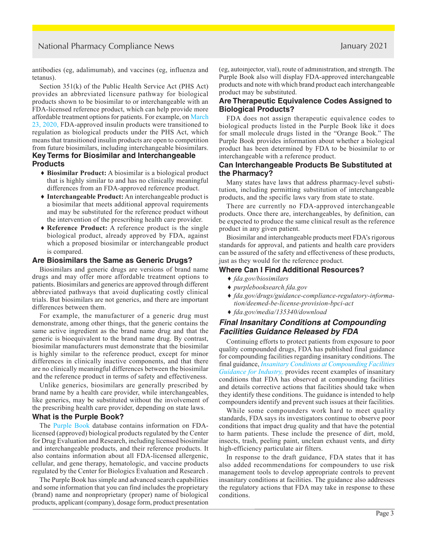antibodies (eg, adalimumab), and vaccines (eg, influenza and tetanus).

Section 351(k) of the Public Health Service Act (PHS Act) provides an abbreviated licensure pathway for biological products shown to be biosimilar to or interchangeable with an FDA-licensed reference product, which can help provide more affordable treatment options for patients. For example, on [March](https://www.fda.gov/media/135340/download) [23, 2020](https://www.fda.gov/media/135340/download), FDA-approved insulin products were transitioned to regulation as biological products under the PHS Act, which means that transitioned insulin products are open to competition from future biosimilars, including interchangeable biosimilars.

#### **Key Terms for Biosimilar and Interchangeable Products**

- ♦ **Biosimilar Product:** A biosimilar is a biological product that is highly similar to and has no clinically meaningful differences from an FDA-approved reference product.
- ♦ **Interchangeable Product:** An interchangeable product is a biosimilar that meets additional approval requirements and may be substituted for the reference product without the intervention of the prescribing health care provider.
- ♦ **Reference Product:** A reference product is the single biological product, already approved by FDA, against which a proposed biosimilar or interchangeable product is compared.

#### **Are Biosimilars the Same as Generic Drugs?**

Biosimilars and generic drugs are versions of brand name drugs and may offer more affordable treatment options to patients. Biosimilars and generics are approved through different abbreviated pathways that avoid duplicating costly clinical trials. But biosimilars are not generics, and there are important differences between them.

For example, the manufacturer of a generic drug must demonstrate, among other things, that the generic contains the same active ingredient as the brand name drug and that the generic is bioequivalent to the brand name drug. By contrast, biosimilar manufacturers must demonstrate that the biosimilar is highly similar to the reference product, except for minor differences in clinically inactive components, and that there are no clinically meaningful differences between the biosimilar and the reference product in terms of safety and effectiveness.

Unlike generics, biosimilars are generally prescribed by brand name by a health care provider, while interchangeables, like generics, may be substituted without the involvement of the prescribing health care provider, depending on state laws.

#### **What is the Purple Book?**

The [Purple Book](https://purplebooksearch.fda.gov/) database contains information on FDAlicensed (approved) biological products regulated by the Center for Drug Evaluation and Research, including licensed biosimilar and interchangeable products, and their reference products. It also contains information about all FDA-licensed allergenic, cellular, and gene therapy, hematologic, and vaccine products regulated by the Center for Biologics Evaluation and Research .

The Purple Book has simple and advanced search capabilities and some information that you can find includes the proprietary (brand) name and nonproprietary (proper) name of biological products, applicant (company), dosage form, product presentation (eg, autoinjector, vial), route of administration, and strength. The Purple Book also will display FDA-approved interchangeable products and note with which brand product each interchangeable product may be substituted.

#### **Are Therapeutic Equivalence Codes Assigned to Biological Products?**

FDA does not assign therapeutic equivalence codes to biological products listed in the Purple Book like it does for small molecule drugs listed in the "Orange Book." The Purple Book provides information about whether a biological product has been determined by FDA to be biosimilar to or interchangeable with a reference product.

#### **Can Interchangeable Products Be Substituted at the Pharmacy?**

Many states have laws that address pharmacy-level substitution, including permitting substitution of interchangeable products, and the specific laws vary from state to state.

There are currently no FDA-approved interchangeable products. Once there are, interchangeables, by definition, can be expected to produce the same clinical result as the reference product in any given patient.

Biosimilar and interchangeable products meet FDA's rigorous standards for approval, and patients and health care providers can be assured of the safety and effectiveness of these products, just as they would for the reference product.

#### **Where Can I Find Additional Resources?**

- ♦ *[fda.gov/biosimilars](http://www.fda.gov/biosimilars)*
- ♦ *[purplebooksearch.fda.gov](https://purplebooksearch.fda.gov/)*
- ♦ *[fda.gov/drugs/guidance-compliance-regulatory-informa](https://www.fda.gov/drugs/guidance-compliance-regulatory-information/deemed-be-license-provision-bpci-act)tion/deemed-be-license-provision-bpci-act*
- ♦ *[fda.gov/media/135340/download](https://www.fda.gov/media/135340/download)*

#### *Final Insanitary Conditions at Compounding Facilities Guidance Released by FDA*

Continuing efforts to protect patients from exposure to poor quality compounded drugs, FDA has published final guidance for compounding facilities regarding insanitary conditions. The final guidance, *[Insanitary Conditions at Compounding Facilities](https://www.fda.gov/media/124948/download)  [Guidance for Industry,](https://www.fda.gov/media/124948/download)* provides recent examples of insanitary conditions that FDA has observed at compounding facilities and details corrective actions that facilities should take when they identify these conditions. The guidance is intended to help compounders identify and prevent such issues at their facilities.

While some compounders work hard to meet quality standards, FDA says its investigators continue to observe poor conditions that impact drug quality and that have the potential to harm patients. These include the presence of dirt, mold, insects, trash, peeling paint, unclean exhaust vents, and dirty high-efficiency particulate air filters.

In response to the draft guidance, FDA states that it has also added recommendations for compounders to use risk management tools to develop appropriate controls to prevent insanitary conditions at facilities. The guidance also addresses the regulatory actions that FDA may take in response to these conditions.